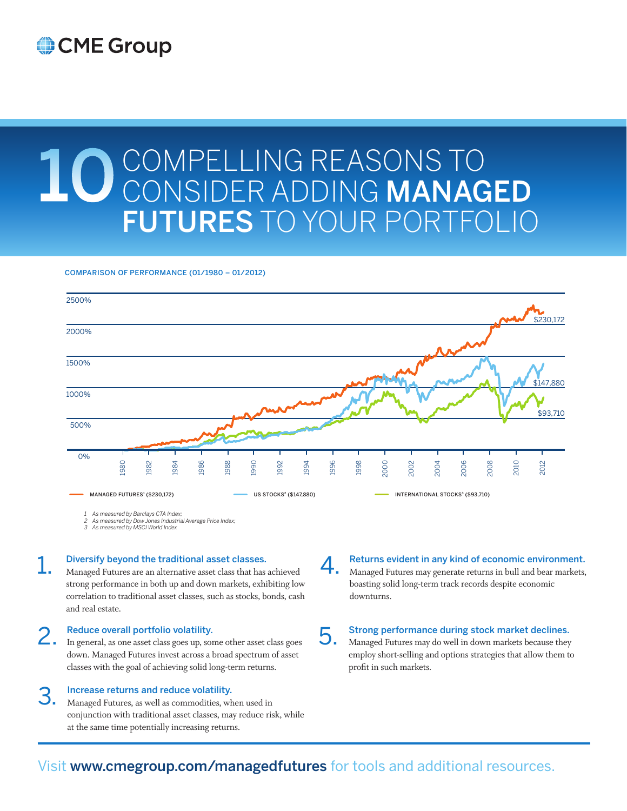## CME Group

# 10 COMPELLING REASONS TO CONSIDER ADDING MANAGED FUTURES TO YOUR PORTFOLIO

#### COMPARISON OF PERFORMANCE (01/1980 – 01/2012)



4.

*1 As measured by Barclays CTA Index;*

*2 As measured by Dow Jones Industrial Average Price Index; 3 As measured by MSCI World Index*

## 1. Diversify beyond the traditional asset classes.

Managed Futures are an alternative asset class that has achieved strong performance in both up and down markets, exhibiting low correlation to traditional asset classes, such as stocks, bonds, cash and real estate.

### Reduce overall portfolio volatility.

2. In general, as one asset class goes up, some other asset class goes down. Managed Futures invest across a broad spectrum of asset classes with the goal of achieving solid long-term returns.

#### Increase returns and reduce volatility.

3. Managed Futures, as well as commodities, when used in conjunction with traditional asset classes, may reduce risk, while at the same time potentially increasing returns.

Returns evident in any kind of economic environment. Managed Futures may generate returns in bull and bear markets, boasting solid long-term track records despite economic downturns.

## 5. Strong performance during stock market declines. Managed Futures may do well in down markets because they

employ short-selling and options strategies that allow them to profit in such markets.

## Visit www.cmegroup.com/managedfutures for tools and additional resources.